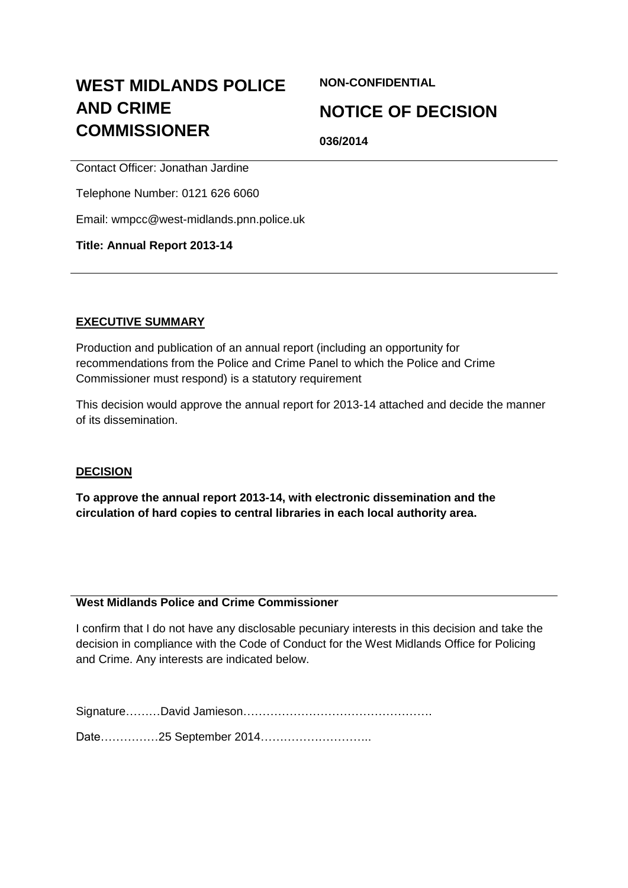# **WEST MIDLANDS POLICE AND CRIME COMMISSIONER**

**NON-CONFIDENTIAL**

## **NOTICE OF DECISION**

**036/2014**

Contact Officer: Jonathan Jardine

Telephone Number: 0121 626 6060

Email: wmpcc@west-midlands.pnn.police.uk

### **Title: Annual Report 2013-14**

### **EXECUTIVE SUMMARY**

Production and publication of an annual report (including an opportunity for recommendations from the Police and Crime Panel to which the Police and Crime Commissioner must respond) is a statutory requirement

This decision would approve the annual report for 2013-14 attached and decide the manner of its dissemination.

### **DECISION**

**To approve the annual report 2013-14, with electronic dissemination and the circulation of hard copies to central libraries in each local authority area.**

### **West Midlands Police and Crime Commissioner**

I confirm that I do not have any disclosable pecuniary interests in this decision and take the decision in compliance with the Code of Conduct for the West Midlands Office for Policing and Crime. Any interests are indicated below.

Signature………David Jamieson………………………………………….

Date………………25 September 2014……………………………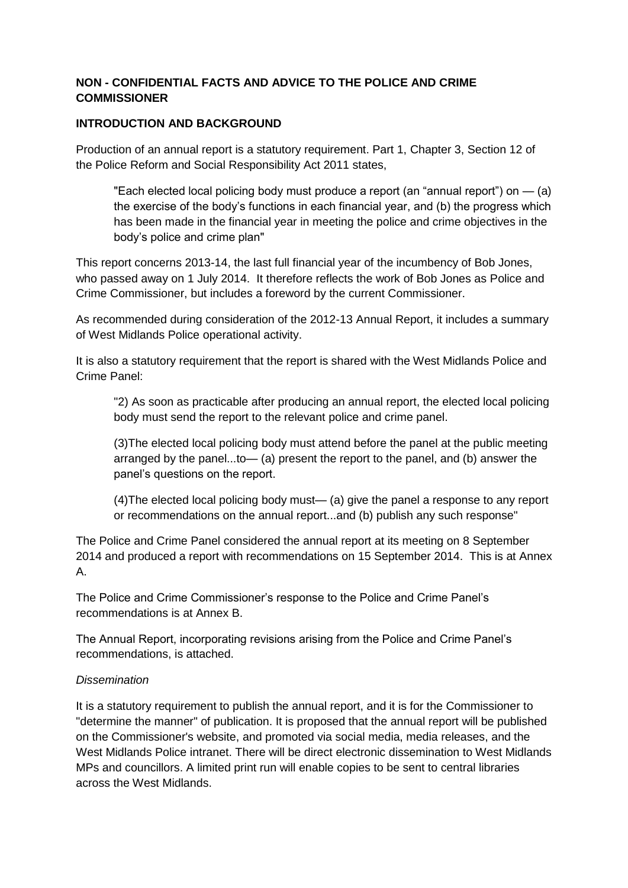### **NON - CONFIDENTIAL FACTS AND ADVICE TO THE POLICE AND CRIME COMMISSIONER**

### **INTRODUCTION AND BACKGROUND**

Production of an annual report is a statutory requirement. Part 1, Chapter 3, Section 12 of the Police Reform and Social Responsibility Act 2011 states,

"Each elected local policing body must produce a report (an "annual report") on  $-$  (a) the exercise of the body's functions in each financial year, and (b) the progress which has been made in the financial year in meeting the police and crime objectives in the body's police and crime plan"

This report concerns 2013-14, the last full financial year of the incumbency of Bob Jones, who passed away on 1 July 2014. It therefore reflects the work of Bob Jones as Police and Crime Commissioner, but includes a foreword by the current Commissioner.

As recommended during consideration of the 2012-13 Annual Report, it includes a summary of West Midlands Police operational activity.

It is also a statutory requirement that the report is shared with the West Midlands Police and Crime Panel:

"2) As soon as practicable after producing an annual report, the elected local policing body must send the report to the relevant police and crime panel.

(3)The elected local policing body must attend before the panel at the public meeting arranged by the panel...to— (a) present the report to the panel, and (b) answer the panel's questions on the report.

(4)The elected local policing body must— (a) give the panel a response to any report or recommendations on the annual report...and (b) publish any such response"

The Police and Crime Panel considered the annual report at its meeting on 8 September 2014 and produced a report with recommendations on 15 September 2014. This is at Annex A.

The Police and Crime Commissioner's response to the Police and Crime Panel's recommendations is at Annex B.

The Annual Report, incorporating revisions arising from the Police and Crime Panel's recommendations, is attached.

### *Dissemination*

It is a statutory requirement to publish the annual report, and it is for the Commissioner to "determine the manner" of publication. It is proposed that the annual report will be published on the Commissioner's website, and promoted via social media, media releases, and the West Midlands Police intranet. There will be direct electronic dissemination to West Midlands MPs and councillors. A limited print run will enable copies to be sent to central libraries across the West Midlands.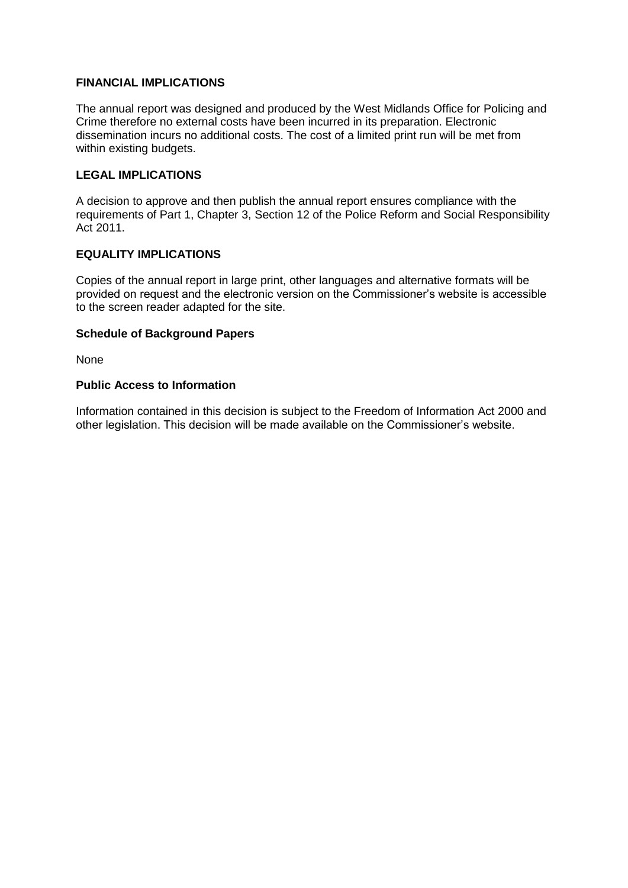### **FINANCIAL IMPLICATIONS**

The annual report was designed and produced by the West Midlands Office for Policing and Crime therefore no external costs have been incurred in its preparation. Electronic dissemination incurs no additional costs. The cost of a limited print run will be met from within existing budgets.

#### **LEGAL IMPLICATIONS**

A decision to approve and then publish the annual report ensures compliance with the requirements of Part 1, Chapter 3, Section 12 of the Police Reform and Social Responsibility Act 2011.

#### **EQUALITY IMPLICATIONS**

Copies of the annual report in large print, other languages and alternative formats will be provided on request and the electronic version on the Commissioner's website is accessible to the screen reader adapted for the site.

#### **Schedule of Background Papers**

None

#### **Public Access to Information**

Information contained in this decision is subject to the Freedom of Information Act 2000 and other legislation. This decision will be made available on the Commissioner's website.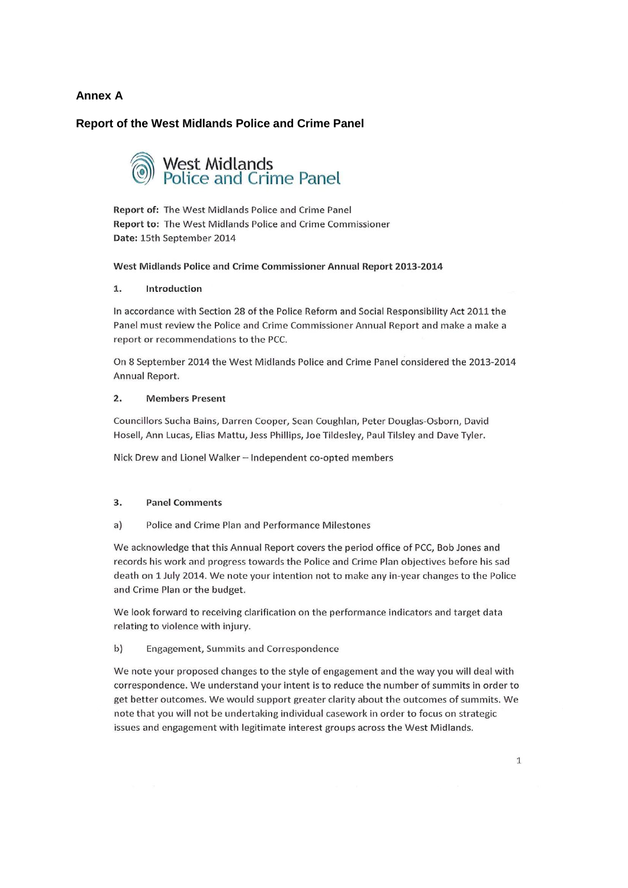#### **Annex A**

#### **Report of the West Midlands Police and Crime Panel**

# West Midlands<br>Police and Crime Panel

Report of: The West Midlands Police and Crime Panel Report to: The West Midlands Police and Crime Commissioner Date: 15th September 2014

#### West Midlands Police and Crime Commissioner Annual Report 2013-2014

#### 1. Introduction

In accordance with Section 28 of the Police Reform and Social Responsibility Act 2011 the Panel must review the Police and Crime Commissioner Annual Report and make a make a report or recommendations to the PCC.

On 8 September 2014 the West Midlands Police and Crime Panel considered the 2013-2014 Annual Report.

#### $2.$ **Members Present**

Councillors Sucha Bains, Darren Cooper, Sean Coughlan, Peter Douglas-Osborn, David Hosell, Ann Lucas, Elias Mattu, Jess Phillips, Joe Tildesley, Paul Tilsley and Dave Tyler.

Nick Drew and Lionel Walker - Independent co-opted members

#### 3. **Panel Comments**

Police and Crime Plan and Performance Milestones  $a)$ 

We acknowledge that this Annual Report covers the period office of PCC, Bob Jones and records his work and progress towards the Police and Crime Plan objectives before his sad death on 1 July 2014. We note your intention not to make any in-year changes to the Police and Crime Plan or the budget.

We look forward to receiving clarification on the performance indicators and target data relating to violence with injury.

#### $b)$ **Engagement, Summits and Correspondence**

We note your proposed changes to the style of engagement and the way you will deal with correspondence. We understand your intent is to reduce the number of summits in order to get better outcomes. We would support greater clarity about the outcomes of summits. We note that you will not be undertaking individual casework in order to focus on strategic issues and engagement with legitimate interest groups across the West Midlands.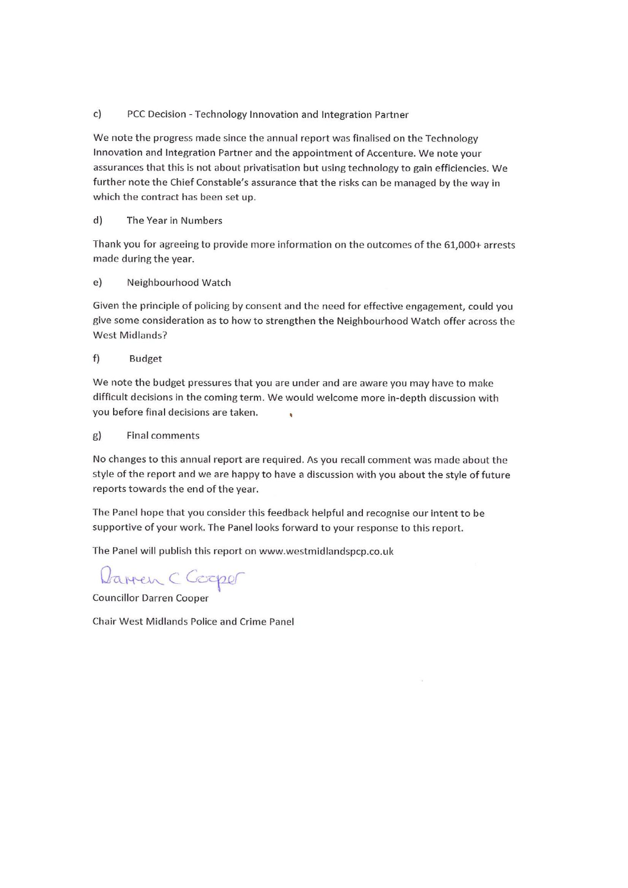#### $c)$ PCC Decision - Technology Innovation and Integration Partner

We note the progress made since the annual report was finalised on the Technology Innovation and Integration Partner and the appointment of Accenture. We note your assurances that this is not about privatisation but using technology to gain efficiencies. We further note the Chief Constable's assurance that the risks can be managed by the way in which the contract has been set up.

#### $d)$ The Year in Numbers

Thank you for agreeing to provide more information on the outcomes of the 61,000+ arrests made during the year.

#### $e)$ Neighbourhood Watch

Given the principle of policing by consent and the need for effective engagement, could you give some consideration as to how to strengthen the Neighbourhood Watch offer across the **West Midlands?** 

#### $f$ **Budget**

We note the budget pressures that you are under and are aware you may have to make difficult decisions in the coming term. We would welcome more in-depth discussion with vou before final decisions are taken.

#### $g)$ **Final comments**

No changes to this annual report are required. As you recall comment was made about the style of the report and we are happy to have a discussion with you about the style of future reports towards the end of the year.

The Panel hope that you consider this feedback helpful and recognise our intent to be supportive of your work. The Panel looks forward to your response to this report.

The Panel will publish this report on www.westmidlandspcp.co.uk

Darren C Cooper

**Councillor Darren Cooper** 

Chair West Midlands Police and Crime Panel